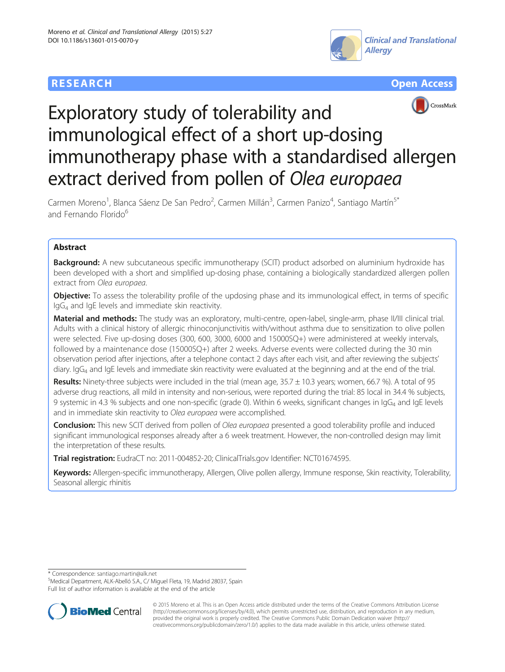## **RESEARCH CHEAR CHEAR CHEAR CHEAR CHEAR CHEAR CHEAR CHEAR CHEAR CHEAR CHEAR CHEAR CHEAR CHEAR CHEAR CHEAR CHEAR**





# CrossMark

# Exploratory study of tolerability and immunological effect of a short up-dosing immunotherapy phase with a standardised allergen extract derived from pollen of Olea europaea

Carmen Moreno<sup>1</sup>, Blanca Sáenz De San Pedro<sup>2</sup>, Carmen Millán<sup>3</sup>, Carmen Panizo<sup>4</sup>, Santiago Martín<sup>5\*</sup> and Fernando Florido<sup>6</sup>

### Abstract

Background: A new subcutaneous specific immunotherapy (SCIT) product adsorbed on aluminium hydroxide has been developed with a short and simplified up-dosing phase, containing a biologically standardized allergen pollen extract from Olea europaea.

**Objective:** To assess the tolerability profile of the updosing phase and its immunological effect, in terms of specific IgG4 and IgE levels and immediate skin reactivity.

Material and methods: The study was an exploratory, multi-centre, open-label, single-arm, phase II/III clinical trial. Adults with a clinical history of allergic rhinoconjunctivitis with/without asthma due to sensitization to olive pollen were selected. Five up-dosing doses (300, 600, 3000, 6000 and 15000SQ+) were administered at weekly intervals, followed by a maintenance dose (15000SQ+) after 2 weeks. Adverse events were collected during the 30 min observation period after injections, after a telephone contact 2 days after each visit, and after reviewing the subjects' diary.  $\log_4$  and IgE levels and immediate skin reactivity were evaluated at the beginning and at the end of the trial.

Results: Ninety-three subjects were included in the trial (mean age, 35.7 ± 10.3 years; women, 66.7 %). A total of 95 adverse drug reactions, all mild in intensity and non-serious, were reported during the trial: 85 local in 34.4 % subjects, 9 systemic in 4.3 % subjects and one non-specific (grade 0). Within 6 weeks, significant changes in IgG<sub>4</sub> and IgE levels and in immediate skin reactivity to Olea europaea were accomplished.

Conclusion: This new SCIT derived from pollen of *Olea europaea* presented a good tolerability profile and induced significant immunological responses already after a 6 week treatment. However, the non-controlled design may limit the interpretation of these results.

Trial registration: EudraCT no: 2011-004852-20; ClinicalTrials.gov Identifier: [NCT01674595.](https://clinicaltrials.gov/ct2/show/NCT01674595)

Keywords: Allergen-specific immunotherapy, Allergen, Olive pollen allergy, Immune response, Skin reactivity, Tolerability, Seasonal allergic rhinitis

\* Correspondence: [santiago.martin@alk.net](mailto:santiago.martin@alk.net) <sup>5</sup>

Medical Department, ALK-Abelló S.A., C/ Miguel Fleta, 19, Madrid 28037, Spain Full list of author information is available at the end of the article



© 2015 Moreno et al. This is an Open Access article distributed under the terms of the Creative Commons Attribution License [\(http://creativecommons.org/licenses/by/4.0\)](http://creativecommons.org/licenses/by/4.0), which permits unrestricted use, distribution, and reproduction in any medium, provided the original work is properly credited. The Creative Commons Public Domain Dedication waiver [\(http://](http://creativecommons.org/publicdomain/zero/1.0/) [creativecommons.org/publicdomain/zero/1.0/\)](http://creativecommons.org/publicdomain/zero/1.0/) applies to the data made available in this article, unless otherwise stated.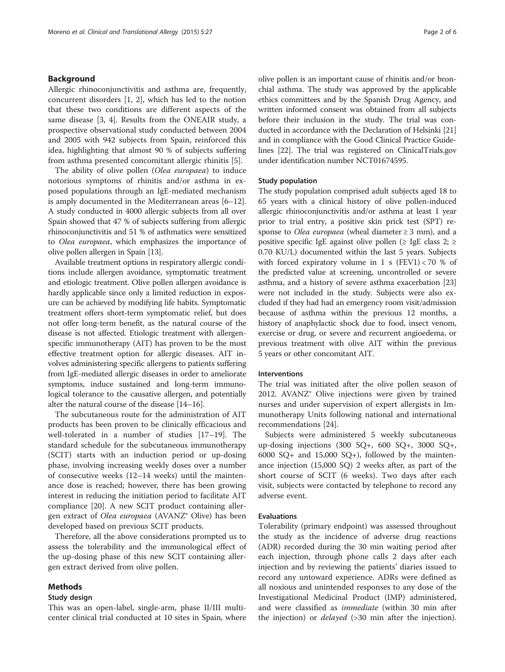#### Background

Allergic rhinoconjunctivitis and asthma are, frequently, concurrent disorders [[1](#page-5-0), [2](#page-5-0)], which has led to the notion that these two conditions are different aspects of the same disease [\[3](#page-5-0), [4](#page-5-0)]. Results from the ONEAIR study, a prospective observational study conducted between 2004 and 2005 with 942 subjects from Spain, reinforced this idea, highlighting that almost 90 % of subjects suffering from asthma presented concomitant allergic rhinitis [[5\]](#page-5-0).

The ability of olive pollen (Olea europaea) to induce notorious symptoms of rhinitis and/or asthma in exposed populations through an IgE-mediated mechanism is amply documented in the Mediterranean areas [[6](#page-5-0)–[12](#page-5-0)]. A study conducted in 4000 allergic subjects from all over Spain showed that 47 % of subjects suffering from allergic rhinoconjunctivitis and 51 % of asthmatics were sensitized to Olea europaea, which emphasizes the importance of olive pollen allergen in Spain [\[13](#page-5-0)].

Available treatment options in respiratory allergic conditions include allergen avoidance, symptomatic treatment and etiologic treatment. Olive pollen allergen avoidance is hardly applicable since only a limited reduction in exposure can be achieved by modifying life habits. Symptomatic treatment offers short-term symptomatic relief, but does not offer long-term benefit, as the natural course of the disease is not affected. Etiologic treatment with allergenspecific immunotherapy (AIT) has proven to be the most effective treatment option for allergic diseases. AIT involves administering specific allergens to patients suffering from IgE-mediated allergic diseases in order to ameliorate symptoms, induce sustained and long-term immunological tolerance to the causative allergen, and potentially alter the natural course of the disease [\[14](#page-5-0)–[16](#page-5-0)].

The subcutaneous route for the administration of AIT products has been proven to be clinically efficacious and well-tolerated in a number of studies [[17](#page-5-0)–[19](#page-5-0)]. The standard schedule for the subcutaneous immunotherapy (SCIT) starts with an induction period or up-dosing phase, involving increasing weekly doses over a number of consecutive weeks (12–14 weeks) until the maintenance dose is reached; however, there has been growing interest in reducing the initiation period to facilitate AIT compliance [\[20](#page-5-0)]. A new SCIT product containing allergen extract of Olea europaea (AVANZ® Olive) has been developed based on previous SCIT products.

Therefore, all the above considerations prompted us to assess the tolerability and the immunological effect of the up-dosing phase of this new SCIT containing allergen extract derived from olive pollen.

#### Methods

#### Study design

This was an open-label, single-arm, phase II/III multicenter clinical trial conducted at 10 sites in Spain, where olive pollen is an important cause of rhinitis and/or bronchial asthma. The study was approved by the applicable ethics committees and by the Spanish Drug Agency, and written informed consent was obtained from all subjects before their inclusion in the study. The trial was conducted in accordance with the Declaration of Helsinki [[21](#page-5-0)] and in compliance with the Good Clinical Practice Guidelines [[22](#page-5-0)]. The trial was registered on ClinicalTrials.gov under identification number [NCT01674595](http://www.clinicaltrials.gov/NCT01674595).

#### Study population

The study population comprised adult subjects aged 18 to 65 years with a clinical history of olive pollen-induced allergic rhinoconjunctivitis and/or asthma at least 1 year prior to trial entry, a positive skin prick test (SPT) response to *Olea europaea* (wheal diameter  $\geq$  3 mm), and a positive specific IgE against olive pollen ( $\geq$  IgE class 2;  $\geq$ 0.70 KU/L) documented within the last 5 years. Subjects with forced expiratory volume in 1 s  $(FEV1) < 70$  % of the predicted value at screening, uncontrolled or severe asthma, and a history of severe asthma exacerbation [[23](#page-5-0)] were not included in the study. Subjects were also excluded if they had had an emergency room visit/admission because of asthma within the previous 12 months, a history of anaphylactic shock due to food, insect venom, exercise or drug, or severe and recurrent angioedema, or previous treatment with olive AIT within the previous 5 years or other concomitant AIT.

#### Interventions

The trial was initiated after the olive pollen season of 2012. AVANZ® Olive injections were given by trained nurses and under supervision of expert allergists in Immunotherapy Units following national and international recommendations [\[24](#page-5-0)].

Subjects were administered 5 weekly subcutaneous up-dosing injections  $(300 \text{ SQ} +, 600 \text{ SQ} +, 3000 \text{ SQ} +,$ 6000  $SQ+$  and 15,000  $SQ+$ ), followed by the maintenance injection (15,000 SQ) 2 weeks after, as part of the short course of SCIT (6 weeks). Two days after each visit, subjects were contacted by telephone to record any adverse event.

#### Evaluations

Tolerability (primary endpoint) was assessed throughout the study as the incidence of adverse drug reactions (ADR) recorded during the 30 min waiting period after each injection, through phone calls 2 days after each injection and by reviewing the patients' diaries issued to record any untoward experience. ADRs were defined as all noxious and unintended responses to any dose of the Investigational Medicinal Product (IMP) administered, and were classified as *immediate* (within 30 min after the injection) or *delayed* (>30 min after the injection).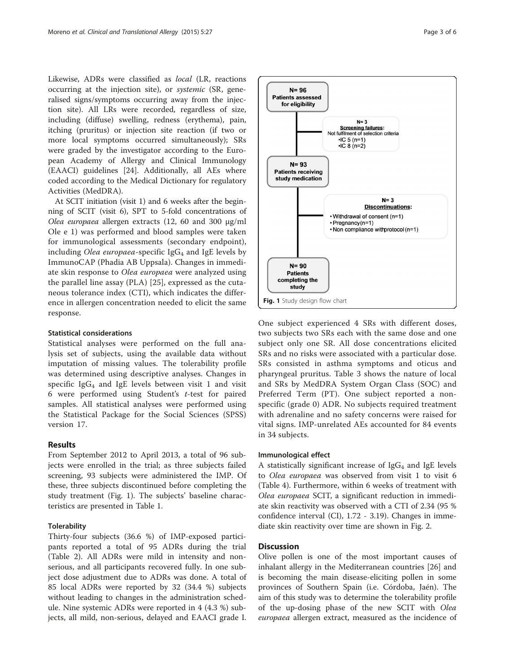Likewise, ADRs were classified as local (LR, reactions occurring at the injection site), or systemic (SR, generalised signs/symptoms occurring away from the injection site). All LRs were recorded, regardless of size, including (diffuse) swelling, redness (erythema), pain, itching (pruritus) or injection site reaction (if two or more local symptoms occurred simultaneously); SRs were graded by the investigator according to the European Academy of Allergy and Clinical Immunology (EAACI) guidelines [[24](#page-5-0)]. Additionally, all AEs where coded according to the Medical Dictionary for regulatory Activities (MedDRA).

At SCIT initiation (visit 1) and 6 weeks after the beginning of SCIT (visit 6), SPT to 5-fold concentrations of Olea europaea allergen extracts (12, 60 and 300 μg/ml Ole e 1) was performed and blood samples were taken for immunological assessments (secondary endpoint), including Olea europaea-specific  $\lg G_4$  and  $\lg E$  levels by ImmunoCAP (Phadia AB Uppsala). Changes in immediate skin response to Olea europaea were analyzed using the parallel line assay (PLA) [[25\]](#page-5-0), expressed as the cutaneous tolerance index (CTI), which indicates the difference in allergen concentration needed to elicit the same response.

#### Statistical considerations

Statistical analyses were performed on the full analysis set of subjects, using the available data without imputation of missing values. The tolerability profile was determined using descriptive analyses. Changes in specific  $I \nsubseteq G_4$  and  $I \nsubseteq E$  levels between visit 1 and visit 6 were performed using Student's t-test for paired samples. All statistical analyses were performed using the Statistical Package for the Social Sciences (SPSS) version 17.

#### Results

From September 2012 to April 2013, a total of 96 subjects were enrolled in the trial; as three subjects failed screening, 93 subjects were administered the IMP. Of these, three subjects discontinued before completing the study treatment (Fig. 1). The subjects' baseline characteristics are presented in Table [1](#page-3-0).

#### **Tolerability**

Thirty-four subjects (36.6 %) of IMP-exposed participants reported a total of 95 ADRs during the trial (Table [2](#page-3-0)). All ADRs were mild in intensity and nonserious, and all participants recovered fully. In one subject dose adjustment due to ADRs was done. A total of 85 local ADRs were reported by 32 (34.4 %) subjects without leading to changes in the administration schedule. Nine systemic ADRs were reported in 4 (4.3 %) subjects, all mild, non-serious, delayed and EAACI grade I.



One subject experienced 4 SRs with different doses, two subjects two SRs each with the same dose and one subject only one SR. All dose concentrations elicited SRs and no risks were associated with a particular dose. SRs consisted in asthma symptoms and oticus and pharyngeal pruritus. Table [3](#page-3-0) shows the nature of local and SRs by MedDRA System Organ Class (SOC) and Preferred Term (PT). One subject reported a nonspecific (grade 0) ADR. No subjects required treatment with adrenaline and no safety concerns were raised for vital signs. IMP-unrelated AEs accounted for 84 events in 34 subjects.

#### Immunological effect

A statistically significant increase of  $\lg G_4$  and  $\lg E$  levels to Olea europaea was observed from visit 1 to visit 6 (Table [4\)](#page-4-0). Furthermore, within 6 weeks of treatment with Olea europaea SCIT, a significant reduction in immediate skin reactivity was observed with a CTI of 2.34 (95 % confidence interval (CI), 1.72 - 3.19). Changes in immediate skin reactivity over time are shown in Fig. [2](#page-4-0).

#### **Discussion**

Olive pollen is one of the most important causes of inhalant allergy in the Mediterranean countries [\[26\]](#page-5-0) and is becoming the main disease-eliciting pollen in some provinces of Southern Spain (i.e. Córdoba, Jaén). The aim of this study was to determine the tolerability profile of the up-dosing phase of the new SCIT with Olea europaea allergen extract, measured as the incidence of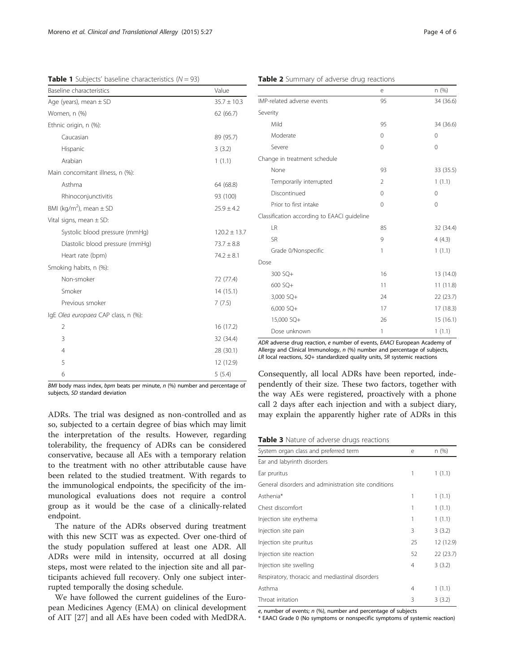<span id="page-3-0"></span>**Table 1** Subjects' baseline characteristics  $(N = 93)$ 

| Baseline characteristics                | Value            |
|-----------------------------------------|------------------|
| Age (years), mean $\pm$ SD              | $35.7 \pm 10.3$  |
| Women, n (%)                            | 62(66.7)         |
| Ethnic origin, n (%):                   |                  |
| Caucasian                               | 89 (95.7)        |
| Hispanic                                | 3(3.2)           |
| Arabian                                 | 1(1.1)           |
| Main concomitant illness, n (%):        |                  |
| Asthma                                  | 64 (68.8)        |
| Rhinoconjunctivitis                     | 93 (100)         |
| BMI (kg/m <sup>2</sup> ), mean $\pm$ SD | $25.9 \pm 4.2$   |
| Vital signs, mean $\pm$ SD:             |                  |
| Systolic blood pressure (mmHg)          | $120.2 \pm 13.7$ |
| Diastolic blood pressure (mmHg)         | $73.7 \pm 8.8$   |
| Heart rate (bpm)                        | $74.2 \pm 8.1$   |
| Smoking habits, n (%):                  |                  |
| Non-smoker                              | 72 (77.4)        |
| Smoker                                  | 14(15.1)         |
| Previous smoker                         | 7(7.5)           |
| IgE Olea europaea CAP class, n (%):     |                  |
| $\overline{2}$                          | 16 (17.2)        |
| 3                                       | 32 (34.4)        |
| $\overline{4}$                          | 28 (30.1)        |
| 5                                       | 12 (12.9)        |
| 6                                       | 5(5.4)           |

BMI body mass index, bpm beats per minute,  $n$  (%) number and percentage of subjects, SD standard deviation

ADRs. The trial was designed as non-controlled and as so, subjected to a certain degree of bias which may limit the interpretation of the results. However, regarding tolerability, the frequency of ADRs can be considered conservative, because all AEs with a temporary relation to the treatment with no other attributable cause have been related to the studied treatment. With regards to the immunological endpoints, the specificity of the immunological evaluations does not require a control group as it would be the case of a clinically-related endpoint.

The nature of the ADRs observed during treatment with this new SCIT was as expected. Over one-third of the study population suffered at least one ADR. All ADRs were mild in intensity, occurred at all dosing steps, most were related to the injection site and all participants achieved full recovery. Only one subject interrupted temporally the dosing schedule.

We have followed the current guidelines of the European Medicines Agency (EMA) on clinical development of AIT [[27\]](#page-5-0) and all AEs have been coded with MedDRA.

| IMP-related adverse events                  | 95             | 34 (36.6)    |  |
|---------------------------------------------|----------------|--------------|--|
| Severity                                    |                |              |  |
| Mild                                        | 95             | 34 (36.6)    |  |
| Moderate                                    | $\Omega$       | $\Omega$     |  |
| Severe                                      | $\mathbf 0$    | $\mathbf 0$  |  |
| Change in treatment schedule                |                |              |  |
| None                                        | 93             | 33 (35.5)    |  |
| Temporarily interrupted                     | $\overline{2}$ | 1(1.1)       |  |
| Discontinued                                | $\Omega$       | $\mathbf{0}$ |  |
| Prior to first intake                       | $\Omega$       | $\Omega$     |  |
| Classification according to EAACI guideline |                |              |  |
| <b>LR</b>                                   | 85             | 32 (34.4)    |  |
| <b>SR</b>                                   | 9              | 4(4.3)       |  |
| Grade 0/Nonspecific                         | 1              | 1(1.1)       |  |
| Dose                                        |                |              |  |
| 300 SQ+                                     | 16             | 13 (14.0)    |  |
| 600 SQ+                                     | 11             | 11(11.8)     |  |
| $3,000$ SQ+                                 | 24             | 22 (23.7)    |  |
| $6,000$ SQ+                                 | 17             | 17 (18.3)    |  |
| 15,000 SQ+                                  | 26             | 15 (16.1)    |  |
| Dose unknown                                | 1              | 1(1.1)       |  |

ADR adverse drug reaction, e number of events, EAACI European Academy of Allergy and Clinical Immunology, n (%) number and percentage of subjects, LR local reactions, SQ+ standardized quality units, SR systemic reactions

Consequently, all local ADRs have been reported, independently of their size. These two factors, together with the way AEs were registered, proactively with a phone call 2 days after each injection and with a subject diary, may explain the apparently higher rate of ADRs in this

Table 3 Nature of adverse drugs reactions

| System organ class and preferred term                | e  | n (%)     |
|------------------------------------------------------|----|-----------|
| Ear and labyrinth disorders                          |    |           |
| Ear pruritus                                         | 1  | 1(1.1)    |
| General disorders and administration site conditions |    |           |
| Asthenia*                                            | 1  | 1(1.1)    |
| Chest discomfort                                     |    | 1(1.1)    |
| Injection site erythema                              | 1  | 1(1.1)    |
| Injection site pain                                  | 3  | 3(3.2)    |
| Injection site pruritus                              | 25 | 12 (12.9) |
| Injection site reaction                              | 52 | 22 (23.7) |
| Injection site swelling                              | 4  | 3(3.2)    |
| Respiratory, thoracic and mediastinal disorders      |    |           |
| Asthma                                               | 4  | 1(1.1)    |
| Throat irritation                                    | 3  | 3(3.2)    |

e, number of events;  $n$  (%), number and percentage of subjects

\* EAACI Grade 0 (No symptoms or nonspecific symptoms of systemic reaction)

e n (%)

#### Table 2 Summary of adverse drug reactions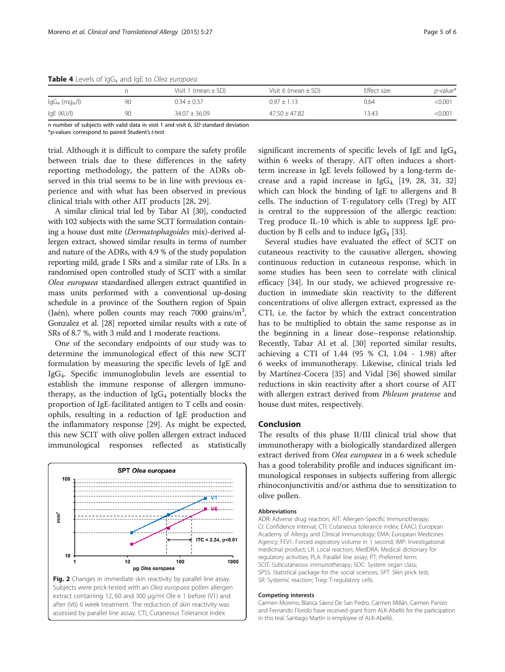<span id="page-4-0"></span>**Table 4** Levels of  $\lg G_4$  and  $\lg E$  to Olea europaea

|                              |    | Visit 1 (mean $\pm$ SD) | Visit 6 (mean $\pm$ SD) | Effect size | $p$ -value* |
|------------------------------|----|-------------------------|-------------------------|-------------|-------------|
| $lgG_4$ (mg <sub>A</sub> /l) | 90 | $0.34 \pm 0.37$         | $0.97 \pm 1.13$         | 0.64        | < 0.001     |
| IgE (KU/I)                   | 90 | $34.07 \pm 36.09$       | $47.50 \pm 47.82$       | '3.43       | <0.001      |

 $n$  number of subjects with valid data in visit 1 and visit 6, SD standard deviation \*p-values correspond to paired Student'st-test

trial. Although it is difficult to compare the safety profile between trials due to these differences in the safety reporting methodology, the pattern of the ADRs observed in this trial seems to be in line with previous experience and with what has been observed in previous clinical trials with other AIT products [[28, 29\]](#page-5-0).

A similar clinical trial led by Tabar AI [[30\]](#page-5-0), conducted with 102 subjects with the same SCIT formulation containing a house dust mite (Dermatophagoides mix)-derived allergen extract, showed similar results in terms of number and nature of the ADRs, with 4.9 % of the study population reporting mild, grade I SRs and a similar rate of LRs. In a randomised open controlled study of SCIT with a similar Olea europaea standardised allergen extract quantified in mass units performed with a conventional up-dosing schedule in a province of the Southern region of Spain (Jaén), where pollen counts may reach 7000 grains/m<sup>3</sup>, Gonzalez et al. [[28](#page-5-0)] reported similar results with a rate of SRs of 8.7 %, with 3 mild and 1 moderate reactions.

One of the secondary endpoints of our study was to determine the immunological effect of this new SCIT formulation by measuring the specific levels of IgE and IgG4. Specific immunoglobulin levels are essential to establish the immune response of allergen immunotherapy, as the induction of  $IgG_4$  potentially blocks the proportion of IgE-facilitated antigen to T cells and eosinophils, resulting in a reduction of IgE production and the inflammatory response [\[29\]](#page-5-0). As might be expected, this new SCIT with olive pollen allergen extract induced immunological responses reflected as statistically



Fig. 2 Changes in immediate skin reactivity by parallel line assay. Subjects were prick-tested with an Olea europaea pollen allergen extract containing 12, 60 and 300 μg/ml Ole e 1 before (V1) and after (V6) 6 week treatment. The reduction of skin reactivity was assessed by parallel line assay. CTI, Cutaneous Tolerance Index

significant increments of specific levels of IgE and  $IgG_4$ within 6 weeks of therapy. AIT often induces a shortterm increase in IgE levels followed by a long-term decrease and a rapid increase in  $IgG<sub>4</sub>$  [\[19](#page-5-0), [28, 31, 32](#page-5-0)] which can block the binding of IgE to allergens and B cells. The induction of T-regulatory cells (Treg) by AIT is central to the suppression of the allergic reaction: Treg produce IL-10 which is able to suppress IgE production by B cells and to induce  $\text{IgG}_4$  [\[33](#page-5-0)].

Several studies have evaluated the effect of SCIT on cutaneous reactivity to the causative allergen, showing continuous reduction in cutaneous response, which in some studies has been seen to correlate with clinical efficacy [\[34](#page-5-0)]. In our study, we achieved progressive reduction in immediate skin reactivity to the different concentrations of olive allergen extract, expressed as the CTI, i.e. the factor by which the extract concentration has to be multiplied to obtain the same response as in the beginning in a linear dose–response relationship. Recently, Tabar AI et al. [\[30\]](#page-5-0) reported similar results, achieving a CTI of 1.44 (95 % CI, 1.04 - 1.98) after 6 weeks of immunotherapy. Likewise, clinical trials led by Martínez-Cocera [[35](#page-5-0)] and Vidal [\[36\]](#page-5-0) showed similar reductions in skin reactivity after a short course of AIT with allergen extract derived from Phleum pratense and house dust mites, respectively.

#### Conclusion

The results of this phase II/III clinical trial show that immunotherapy with a biologically standardized allergen extract derived from Olea europaea in a 6 week schedule has a good tolerability profile and induces significant immunological responses in subjects suffering from allergic rhinoconjunctivitis and/or asthma due to sensitization to olive pollen.

#### Abbreviations

ADR: Adverse drug reaction; AIT: Allergen-Specific Immunotherapy; CI: Confidence interval; CTI: Cutaneous tolerance index; EAACI: European Academy of Allergy and Clinical Immunology; EMA: European Medicines Agency; FEV1: Forced expiratory volume in 1 second; IMP: Investigational medicinal product; LR: Local reaction; MedDRA: Medical dictionary for regulatory activities; PLA: Parallel line assay; PT: Preferred term; SCIT: Subcutaneous immunotherapy; SOC: System organ class; SPSS: Statistical package for the social sciences; SPT: Skin prick test; SR: Systemic reaction; Treg: T-regulatory cells.

#### Competing interests

Carmen Moreno, Blanca Sáenz De San Pedro, Carmen Millán, Carmen Panizo and Fernando Florido have received grant from ALK-Abelló for the participation in this trial. Santiago Martín is employee of ALK-Abelló.